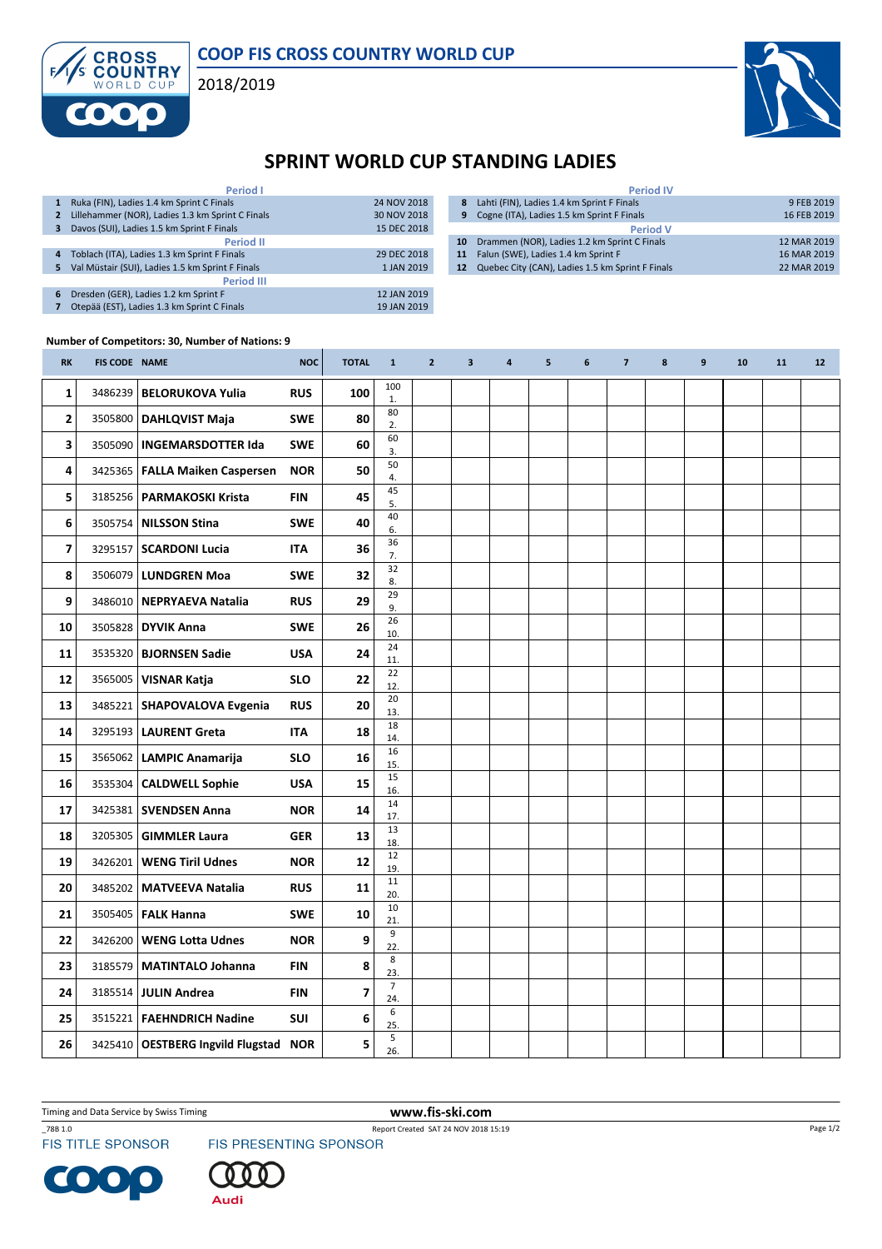

2018/2019



## SPRINT WORLD CUP STANDING LADIES

|                   | <b>Period I</b>                                  |             |  |  |  |  |  |  |  |  |
|-------------------|--------------------------------------------------|-------------|--|--|--|--|--|--|--|--|
| 1                 | Ruka (FIN), Ladies 1.4 km Sprint C Finals        | 24 NOV 2018 |  |  |  |  |  |  |  |  |
| 2                 | Lillehammer (NOR), Ladies 1.3 km Sprint C Finals | 30 NOV 2018 |  |  |  |  |  |  |  |  |
| 3                 | Davos (SUI), Ladies 1.5 km Sprint F Finals       | 15 DEC 2018 |  |  |  |  |  |  |  |  |
| <b>Period II</b>  |                                                  |             |  |  |  |  |  |  |  |  |
| 4                 | Toblach (ITA), Ladies 1.3 km Sprint F Finals     | 29 DEC 2018 |  |  |  |  |  |  |  |  |
| 5                 | Val Müstair (SUI), Ladies 1.5 km Sprint F Finals | 1 JAN 2019  |  |  |  |  |  |  |  |  |
| <b>Period III</b> |                                                  |             |  |  |  |  |  |  |  |  |
| 6                 | Dresden (GER), Ladies 1.2 km Sprint F            | 12 JAN 2019 |  |  |  |  |  |  |  |  |
|                   | Otepää (EST), Ladies 1.3 km Sprint C Finals      | 19 JAN 2019 |  |  |  |  |  |  |  |  |

|                 | <b>Period IV</b>                                 |             |  |  |  |  |  |  |
|-----------------|--------------------------------------------------|-------------|--|--|--|--|--|--|
|                 | 8 Lahti (FIN), Ladies 1.4 km Sprint F Finals     | 9 FEB 2019  |  |  |  |  |  |  |
| 9               | Cogne (ITA), Ladies 1.5 km Sprint F Finals       | 16 FEB 2019 |  |  |  |  |  |  |
| <b>Period V</b> |                                                  |             |  |  |  |  |  |  |
| 10              | Drammen (NOR), Ladies 1.2 km Sprint C Finals     | 12 MAR 2019 |  |  |  |  |  |  |
| 11              | Falun (SWE), Ladies 1.4 km Sprint F              | 16 MAR 2019 |  |  |  |  |  |  |
| 12              | Quebec City (CAN), Ladies 1.5 km Sprint F Finals | 22 MAR 2019 |  |  |  |  |  |  |

## Number of Competitors: 30, Number of Nations: 9

**CROSS<br>COUNTRY** 

F

| <b>RK</b>    | FIS CODE NAME |                                         | <b>NOC</b> | <b>TOTAL</b>            | $\mathbf{1}$            | $\overline{2}$ | $\mathbf{3}$ | 4 | 5 | 6 | $\overline{7}$ | 8 | 9 | 10 | 11 | 12 |
|--------------|---------------|-----------------------------------------|------------|-------------------------|-------------------------|----------------|--------------|---|---|---|----------------|---|---|----|----|----|
| $\mathbf{1}$ | 3486239       | <b>BELORUKOVA Yulia</b>                 | <b>RUS</b> | 100                     | 100<br>1.               |                |              |   |   |   |                |   |   |    |    |    |
| $\mathbf{2}$ |               | 3505800   DAHLQVIST Maja                | <b>SWE</b> | 80                      | 80<br>2.                |                |              |   |   |   |                |   |   |    |    |    |
| 3            |               | 3505090   INGEMARSDOTTER Ida            | <b>SWE</b> | 60                      | 60<br>3.                |                |              |   |   |   |                |   |   |    |    |    |
| 4            |               | 3425365   FALLA Maiken Caspersen        | <b>NOR</b> | 50                      | 50<br>4.                |                |              |   |   |   |                |   |   |    |    |    |
| 5            |               | 3185256   PARMAKOSKI Krista             | <b>FIN</b> | 45                      | 45<br>5.                |                |              |   |   |   |                |   |   |    |    |    |
| 6            | 3505754       | <b>NILSSON Stina</b>                    | <b>SWE</b> | 40                      | 40<br>6.                |                |              |   |   |   |                |   |   |    |    |    |
| 7            |               | 3295157   SCARDONI Lucia                | <b>ITA</b> | 36                      | 36<br>7.                |                |              |   |   |   |                |   |   |    |    |    |
| 8            |               | 3506079   LUNDGREN Moa                  | <b>SWE</b> | 32                      | 32<br>8.                |                |              |   |   |   |                |   |   |    |    |    |
| 9            |               | 3486010   NEPRYAEVA Natalia             | <b>RUS</b> | 29                      | 29<br>9.                |                |              |   |   |   |                |   |   |    |    |    |
| 10           |               | 3505828 DYVIK Anna                      | <b>SWE</b> | 26                      | 26<br>10.               |                |              |   |   |   |                |   |   |    |    |    |
| 11           |               | 3535320   <b>BJORNSEN Sadie</b>         | <b>USA</b> | 24                      | 24<br>11.               |                |              |   |   |   |                |   |   |    |    |    |
| 12           | 3565005       | <b>VISNAR Katja</b>                     | <b>SLO</b> | 22                      | 22<br>12.               |                |              |   |   |   |                |   |   |    |    |    |
| 13           |               | 3485221   SHAPOVALOVA Evgenia           | <b>RUS</b> | 20                      | 20<br>13.               |                |              |   |   |   |                |   |   |    |    |    |
| 14           |               | 3295193   LAURENT Greta                 | <b>ITA</b> | 18                      | 18<br>14.               |                |              |   |   |   |                |   |   |    |    |    |
| 15           |               | 3565062   LAMPIC Anamarija              | <b>SLO</b> | 16                      | 16<br>15.               |                |              |   |   |   |                |   |   |    |    |    |
| 16           |               | 3535304   CALDWELL Sophie               | <b>USA</b> | 15                      | 15<br>16.               |                |              |   |   |   |                |   |   |    |    |    |
| 17           |               | 3425381   SVENDSEN Anna                 | <b>NOR</b> | 14                      | 14<br>17.               |                |              |   |   |   |                |   |   |    |    |    |
| 18           |               | 3205305   GIMMLER Laura                 | <b>GER</b> | 13                      | 13<br>18.               |                |              |   |   |   |                |   |   |    |    |    |
| 19           |               | 3426201   WENG Tiril Udnes              | <b>NOR</b> | 12                      | 12<br>19.               |                |              |   |   |   |                |   |   |    |    |    |
| 20           |               | 3485202   MATVEEVA Natalia              | <b>RUS</b> | 11                      | 11<br>20.               |                |              |   |   |   |                |   |   |    |    |    |
| 21           |               | 3505405   FALK Hanna                    | <b>SWE</b> | 10                      | 10<br>21.               |                |              |   |   |   |                |   |   |    |    |    |
| 22           |               | 3426200   WENG Lotta Udnes              | <b>NOR</b> | 9                       | $\boldsymbol{9}$<br>22. |                |              |   |   |   |                |   |   |    |    |    |
| 23           |               | 3185579   MATINTALO Johanna             | FIN        | 8                       | 8<br>23.                |                |              |   |   |   |                |   |   |    |    |    |
| 24           |               | 3185514 JULIN Andrea                    | FIN        | $\overline{\mathbf{z}}$ | $\overline{7}$<br>24.   |                |              |   |   |   |                |   |   |    |    |    |
| 25           |               | 3515221   FAEHNDRICH Nadine             | <b>SUI</b> | 6                       | $\,6\,$<br>25.          |                |              |   |   |   |                |   |   |    |    |    |
| 26           |               | 3425410   OESTBERG Ingvild Flugstad NOR |            | 5                       | 5<br>26.                |                |              |   |   |   |                |   |   |    |    |    |

Timing and Data Service by Swiss Timing WWW.fis-ski.com

\_78B 1.0 Report Created SAT 24 NOV 2018 15:19<br>FIS TITLE SPONSOR FIS PRESENTING SPONSOR



Audi

C  $\bullet$ 



Page 1/2